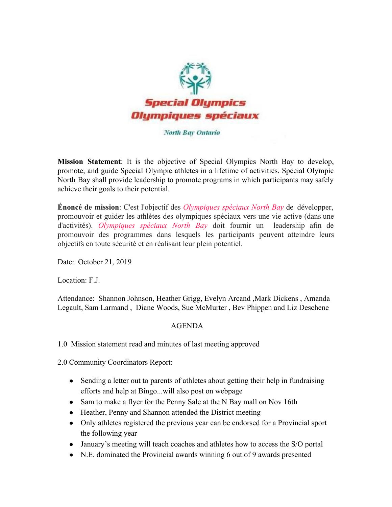

## North Bay Ontario

**Mission Statement**: It is the objective of Special Olympics North Bay to develop, promote, and guide Special Olympic athletes in a lifetime of activities. Special Olympic North Bay shall provide leadership to promote programs in which participants may safely achieve their goals to their potential.

**Énoncé de mission**: C'est l'objectif des *Olympiques spéciaux North Bay* de développer, promouvoir et guider les athlètes des olympiques spéciaux vers une vie active (dans une d'activités). *Olympiques spéciaux North Bay* doit fournir un leadership afin de promouvoir des programmes dans lesquels les participants peuvent atteindre leurs objectifs en toute sécurité et en réalisant leur plein potentiel.

Date: October 21, 2019

Location: F.J.

Attendance: Shannon Johnson, Heather Grigg, Evelyn Arcand ,Mark Dickens , Amanda Legault, Sam Larmand , Diane Woods, Sue McMurter , Bev Phippen and Liz Deschene

## AGENDA

1.0 Mission statement read and minutes of last meeting approved

2.0 Community Coordinators Report:

- Sending a letter out to parents of athletes about getting their help in fundraising efforts and help at Bingo...will also post on webpage
- Sam to make a flyer for the Penny Sale at the N Bay mall on Nov 16th
- Heather, Penny and Shannon attended the District meeting
- Only athletes registered the previous year can be endorsed for a Provincial sport the following year
- January's meeting will teach coaches and athletes how to access the S/O portal
- N.E. dominated the Provincial awards winning 6 out of 9 awards presented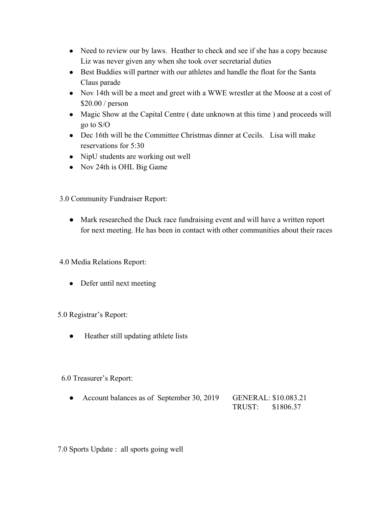- Need to review our by laws. Heather to check and see if she has a copy because Liz was never given any when she took over secretarial duties
- Best Buddies will partner with our athletes and handle the float for the Santa Claus parade
- Nov 14th will be a meet and greet with a WWE wrestler at the Moose at a cost of \$20.00 / person
- Magic Show at the Capital Centre (date unknown at this time) and proceeds will go to S/O
- Dec 16th will be the Committee Christmas dinner at Cecils. Lisa will make reservations for 5:30
- NipU students are working out well
- Nov 24th is OHL Big Game

3.0 Community Fundraiser Report:

● Mark researched the Duck race fundraising event and will have a written report for next meeting. He has been in contact with other communities about their races

4.0 Media Relations Report:

• Defer until next meeting

5.0 Registrar's Report:

● Heather still updating athlete lists

6.0 Treasurer's Report:

• Account balances as of September 30, 2019 GENERAL: \$10.083.21 TRUST: \$1806.37

7.0 Sports Update : all sports going well